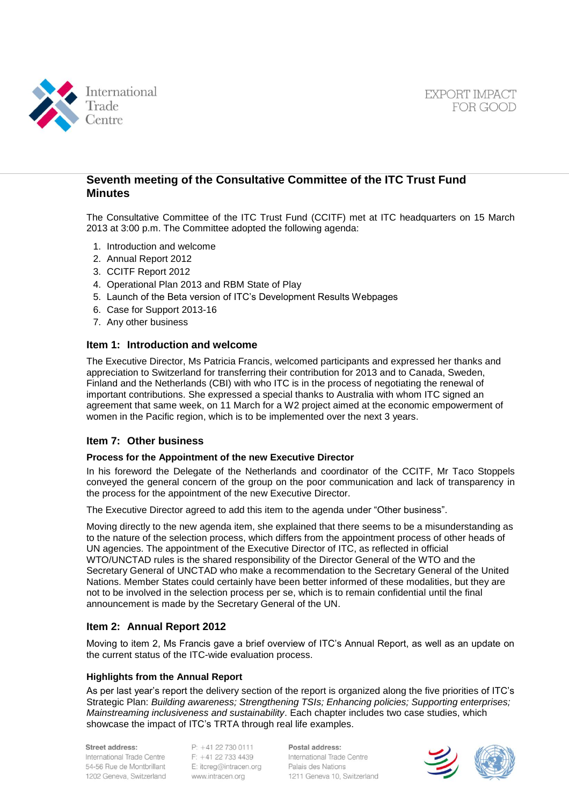



## **Seventh meeting of the Consultative Committee of the ITC Trust Fund Minutes**

The Consultative Committee of the ITC Trust Fund (CCITF) met at ITC headquarters on 15 March 2013 at 3:00 p.m. The Committee adopted the following agenda:

- 1. Introduction and welcome
- 2. Annual Report 2012
- 3. CCITF Report 2012
- 4. Operational Plan 2013 and RBM State of Play
- 5. Launch of the Beta version of ITC's Development Results Webpages
- 6. Case for Support 2013-16
- 7. Any other business

## **Item 1: Introduction and welcome**

The Executive Director, Ms Patricia Francis, welcomed participants and expressed her thanks and appreciation to Switzerland for transferring their contribution for 2013 and to Canada, Sweden, Finland and the Netherlands (CBI) with who ITC is in the process of negotiating the renewal of important contributions. She expressed a special thanks to Australia with whom ITC signed an agreement that same week, on 11 March for a W2 project aimed at the economic empowerment of women in the Pacific region, which is to be implemented over the next 3 years.

## **Item 7: Other business**

#### **Process for the Appointment of the new Executive Director**

In his foreword the Delegate of the Netherlands and coordinator of the CCITF, Mr Taco Stoppels conveyed the general concern of the group on the poor communication and lack of transparency in the process for the appointment of the new Executive Director.

The Executive Director agreed to add this item to the agenda under "Other business".

Moving directly to the new agenda item, she explained that there seems to be a misunderstanding as to the nature of the selection process, which differs from the appointment process of other heads of UN agencies. The appointment of the Executive Director of ITC, as reflected in official WTO/UNCTAD rules is the shared responsibility of the Director General of the WTO and the Secretary General of UNCTAD who make a recommendation to the Secretary General of the United Nations. Member States could certainly have been better informed of these modalities, but they are not to be involved in the selection process per se, which is to remain confidential until the final announcement is made by the Secretary General of the UN.

## **Item 2: Annual Report 2012**

Moving to item 2, Ms Francis gave a brief overview of ITC's Annual Report, as well as an update on the current status of the ITC-wide evaluation process.

#### **Highlights from the Annual Report**

As per last year's report the delivery section of the report is organized along the five priorities of ITC's Strategic Plan: *Building awareness; Strengthening TSIs; Enhancing policies; Supporting enterprises; Mainstreaming inclusiveness and sustainability*. Each chapter includes two case studies, which showcase the impact of ITC's TRTA through real life examples.

#### Street address:

International Trade Centre 54-56 Rue de Montbrillant 1202 Geneva, Switzerland  $P: +41$  22 730 0111 F: +41 22 733 4439 E: itcreg@intracen.org www.intracen.org

Postal address: International Trade Centre Palais des Nations 1211 Geneva 10, Switzerland

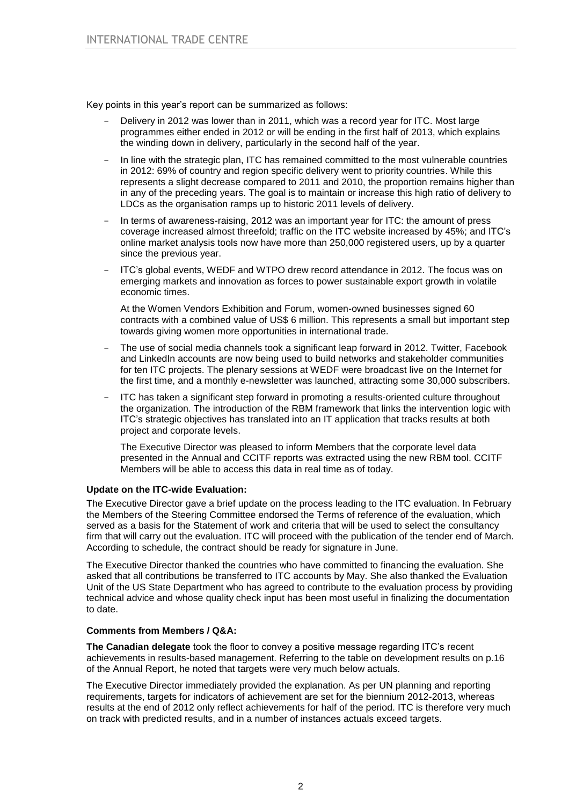Key points in this year's report can be summarized as follows:

- Delivery in 2012 was lower than in 2011, which was a record year for ITC. Most large programmes either ended in 2012 or will be ending in the first half of 2013, which explains the winding down in delivery, particularly in the second half of the year.
- In line with the strategic plan, ITC has remained committed to the most vulnerable countries in 2012: 69% of country and region specific delivery went to priority countries. While this represents a slight decrease compared to 2011 and 2010, the proportion remains higher than in any of the preceding years. The goal is to maintain or increase this high ratio of delivery to LDCs as the organisation ramps up to historic 2011 levels of delivery.
- In terms of awareness-raising, 2012 was an important year for ITC: the amount of press coverage increased almost threefold; traffic on the ITC website increased by 45%; and ITC's online market analysis tools now have more than 250,000 registered users, up by a quarter since the previous year.
- ITC's global events, WEDF and WTPO drew record attendance in 2012. The focus was on emerging markets and innovation as forces to power sustainable export growth in volatile economic times.

At the Women Vendors Exhibition and Forum, women-owned businesses signed 60 contracts with a combined value of US\$ 6 million. This represents a small but important step towards giving women more opportunities in international trade.

- The use of social media channels took a significant leap forward in 2012. Twitter, Facebook and LinkedIn accounts are now being used to build networks and stakeholder communities for ten ITC projects. The plenary sessions at WEDF were broadcast live on the Internet for the first time, and a monthly e-newsletter was launched, attracting some 30,000 subscribers.
- ITC has taken a significant step forward in promoting a results-oriented culture throughout the organization. The introduction of the RBM framework that links the intervention logic with ITC's strategic objectives has translated into an IT application that tracks results at both project and corporate levels.

The Executive Director was pleased to inform Members that the corporate level data presented in the Annual and CCITF reports was extracted using the new RBM tool. CCITF Members will be able to access this data in real time as of today.

## **Update on the ITC-wide Evaluation:**

The Executive Director gave a brief update on the process leading to the ITC evaluation. In February the Members of the Steering Committee endorsed the Terms of reference of the evaluation, which served as a basis for the Statement of work and criteria that will be used to select the consultancy firm that will carry out the evaluation. ITC will proceed with the publication of the tender end of March. According to schedule, the contract should be ready for signature in June.

The Executive Director thanked the countries who have committed to financing the evaluation. She asked that all contributions be transferred to ITC accounts by May. She also thanked the Evaluation Unit of the US State Department who has agreed to contribute to the evaluation process by providing technical advice and whose quality check input has been most useful in finalizing the documentation to date.

#### **Comments from Members / Q&A:**

**The Canadian delegate** took the floor to convey a positive message regarding ITC's recent achievements in results-based management. Referring to the table on development results on p.16 of the Annual Report, he noted that targets were very much below actuals.

The Executive Director immediately provided the explanation. As per UN planning and reporting requirements, targets for indicators of achievement are set for the biennium 2012-2013, whereas results at the end of 2012 only reflect achievements for half of the period. ITC is therefore very much on track with predicted results, and in a number of instances actuals exceed targets.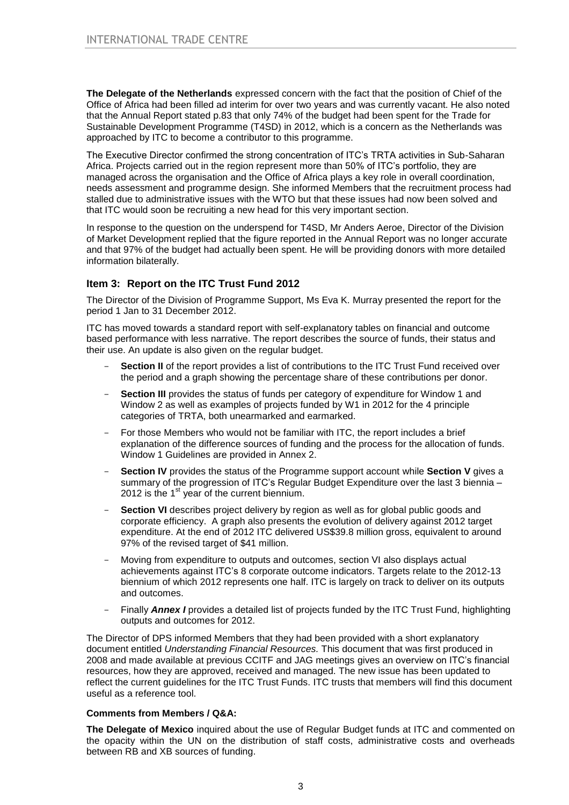**The Delegate of the Netherlands** expressed concern with the fact that the position of Chief of the Office of Africa had been filled ad interim for over two years and was currently vacant. He also noted that the Annual Report stated p.83 that only 74% of the budget had been spent for the Trade for Sustainable Development Programme (T4SD) in 2012, which is a concern as the Netherlands was approached by ITC to become a contributor to this programme.

The Executive Director confirmed the strong concentration of ITC's TRTA activities in Sub-Saharan Africa. Projects carried out in the region represent more than 50% of ITC's portfolio, they are managed across the organisation and the Office of Africa plays a key role in overall coordination, needs assessment and programme design. She informed Members that the recruitment process had stalled due to administrative issues with the WTO but that these issues had now been solved and that ITC would soon be recruiting a new head for this very important section.

In response to the question on the underspend for T4SD, Mr Anders Aeroe, Director of the Division of Market Development replied that the figure reported in the Annual Report was no longer accurate and that 97% of the budget had actually been spent. He will be providing donors with more detailed information bilaterally.

## **Item 3: Report on the ITC Trust Fund 2012**

The Director of the Division of Programme Support, Ms Eva K. Murray presented the report for the period 1 Jan to 31 December 2012.

ITC has moved towards a standard report with self-explanatory tables on financial and outcome based performance with less narrative. The report describes the source of funds, their status and their use. An update is also given on the regular budget.

- **Section II** of the report provides a list of contributions to the ITC Trust Fund received over the period and a graph showing the percentage share of these contributions per donor.
- **Section III** provides the status of funds per category of expenditure for Window 1 and Window 2 as well as examples of projects funded by W1 in 2012 for the 4 principle categories of TRTA, both unearmarked and earmarked.
- For those Members who would not be familiar with ITC, the report includes a brief explanation of the difference sources of funding and the process for the allocation of funds. Window 1 Guidelines are provided in Annex 2.
- Section IV provides the status of the Programme support account while Section V gives a summary of the progression of ITC's Regular Budget Expenditure over the last 3 biennia – 2012 is the  $1<sup>st</sup>$  year of the current biennium.
- **Section VI** describes project delivery by region as well as for global public goods and corporate efficiency. A graph also presents the evolution of delivery against 2012 target expenditure. At the end of 2012 ITC delivered US\$39.8 million gross, equivalent to around 97% of the revised target of \$41 million.
- Moving from expenditure to outputs and outcomes, section VI also displays actual achievements against ITC's 8 corporate outcome indicators. Targets relate to the 2012-13 biennium of which 2012 represents one half. ITC is largely on track to deliver on its outputs and outcomes.
- Finally **Annex I** provides a detailed list of projects funded by the ITC Trust Fund, highlighting outputs and outcomes for 2012.

The Director of DPS informed Members that they had been provided with a short explanatory document entitled *Understanding Financial Resources.* This document that was first produced in 2008 and made available at previous CCITF and JAG meetings gives an overview on ITC's financial resources, how they are approved, received and managed. The new issue has been updated to reflect the current guidelines for the ITC Trust Funds. ITC trusts that members will find this document useful as a reference tool.

#### **Comments from Members / Q&A:**

**The Delegate of Mexico** inquired about the use of Regular Budget funds at ITC and commented on the opacity within the UN on the distribution of staff costs, administrative costs and overheads between RB and XB sources of funding.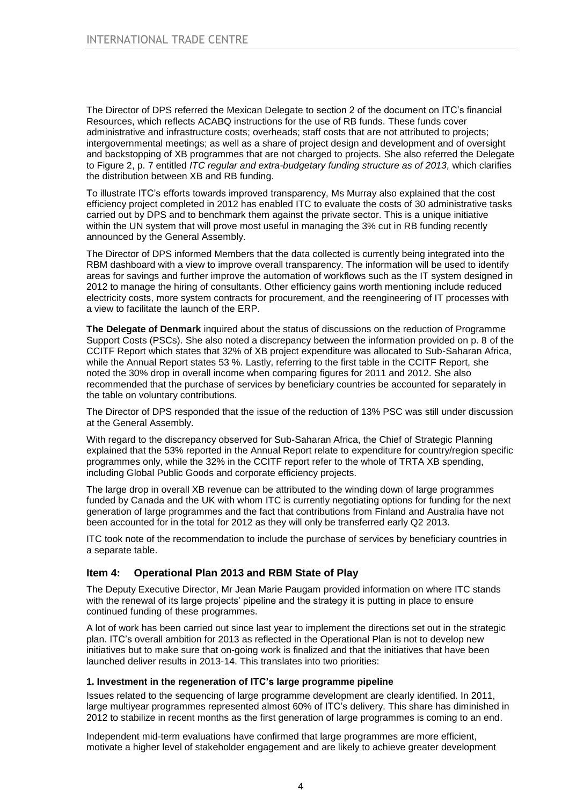The Director of DPS referred the Mexican Delegate to section 2 of the document on ITC's financial Resources, which reflects ACABQ instructions for the use of RB funds. These funds cover administrative and infrastructure costs; overheads; staff costs that are not attributed to projects; intergovernmental meetings; as well as a share of project design and development and of oversight and backstopping of XB programmes that are not charged to projects. She also referred the Delegate to Figure 2, p. 7 entitled *ITC regular and extra-budgetary funding structure as of 2013, which clarifies* the distribution between XB and RB funding.

To illustrate ITC's efforts towards improved transparency, Ms Murray also explained that the cost efficiency project completed in 2012 has enabled ITC to evaluate the costs of 30 administrative tasks carried out by DPS and to benchmark them against the private sector. This is a unique initiative within the UN system that will prove most useful in managing the 3% cut in RB funding recently announced by the General Assembly.

The Director of DPS informed Members that the data collected is currently being integrated into the RBM dashboard with a view to improve overall transparency. The information will be used to identify areas for savings and further improve the automation of workflows such as the IT system designed in 2012 to manage the hiring of consultants. Other efficiency gains worth mentioning include reduced electricity costs, more system contracts for procurement, and the reengineering of IT processes with a view to facilitate the launch of the ERP.

**The Delegate of Denmark** inquired about the status of discussions on the reduction of Programme Support Costs (PSCs). She also noted a discrepancy between the information provided on p. 8 of the CCITF Report which states that 32% of XB project expenditure was allocated to Sub-Saharan Africa, while the Annual Report states 53 %. Lastly, referring to the first table in the CCITF Report, she noted the 30% drop in overall income when comparing figures for 2011 and 2012. She also recommended that the purchase of services by beneficiary countries be accounted for separately in the table on voluntary contributions.

The Director of DPS responded that the issue of the reduction of 13% PSC was still under discussion at the General Assembly.

With regard to the discrepancy observed for Sub-Saharan Africa, the Chief of Strategic Planning explained that the 53% reported in the Annual Report relate to expenditure for country/region specific programmes only, while the 32% in the CCITF report refer to the whole of TRTA XB spending, including Global Public Goods and corporate efficiency projects.

The large drop in overall XB revenue can be attributed to the winding down of large programmes funded by Canada and the UK with whom ITC is currently negotiating options for funding for the next generation of large programmes and the fact that contributions from Finland and Australia have not been accounted for in the total for 2012 as they will only be transferred early Q2 2013.

ITC took note of the recommendation to include the purchase of services by beneficiary countries in a separate table.

## **Item 4: Operational Plan 2013 and RBM State of Play**

The Deputy Executive Director, Mr Jean Marie Paugam provided information on where ITC stands with the renewal of its large projects' pipeline and the strategy it is putting in place to ensure continued funding of these programmes.

A lot of work has been carried out since last year to implement the directions set out in the strategic plan. ITC's overall ambition for 2013 as reflected in the Operational Plan is not to develop new initiatives but to make sure that on-going work is finalized and that the initiatives that have been launched deliver results in 2013-14. This translates into two priorities:

## **1. Investment in the regeneration of ITC's large programme pipeline**

Issues related to the sequencing of large programme development are clearly identified. In 2011, large multiyear programmes represented almost 60% of ITC's delivery. This share has diminished in 2012 to stabilize in recent months as the first generation of large programmes is coming to an end.

Independent mid-term evaluations have confirmed that large programmes are more efficient, motivate a higher level of stakeholder engagement and are likely to achieve greater development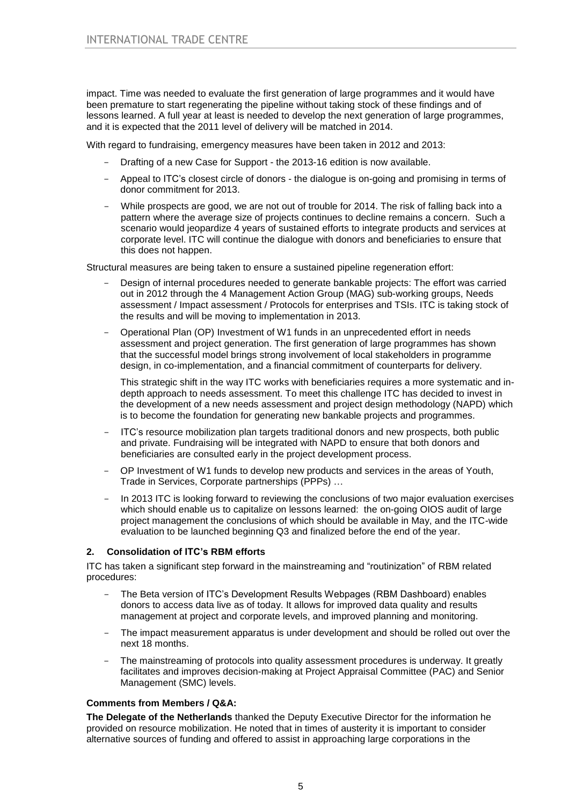impact. Time was needed to evaluate the first generation of large programmes and it would have been premature to start regenerating the pipeline without taking stock of these findings and of lessons learned. A full year at least is needed to develop the next generation of large programmes, and it is expected that the 2011 level of delivery will be matched in 2014.

With regard to fundraising, emergency measures have been taken in 2012 and 2013:

- Drafting of a new Case for Support the 2013-16 edition is now available.
- Appeal to ITC's closest circle of donors the dialogue is on-going and promising in terms of donor commitment for 2013.
- While prospects are good, we are not out of trouble for 2014. The risk of falling back into a pattern where the average size of projects continues to decline remains a concern. Such a scenario would jeopardize 4 years of sustained efforts to integrate products and services at corporate level. ITC will continue the dialogue with donors and beneficiaries to ensure that this does not happen.

Structural measures are being taken to ensure a sustained pipeline regeneration effort:

- Design of internal procedures needed to generate bankable projects: The effort was carried out in 2012 through the 4 Management Action Group (MAG) sub-working groups, Needs assessment / Impact assessment / Protocols for enterprises and TSIs. ITC is taking stock of the results and will be moving to implementation in 2013.
- Operational Plan (OP) Investment of W1 funds in an unprecedented effort in needs assessment and project generation. The first generation of large programmes has shown that the successful model brings strong involvement of local stakeholders in programme design, in co-implementation, and a financial commitment of counterparts for delivery.

This strategic shift in the way ITC works with beneficiaries requires a more systematic and indepth approach to needs assessment. To meet this challenge ITC has decided to invest in the development of a new needs assessment and project design methodology (NAPD) which is to become the foundation for generating new bankable projects and programmes.

- ITC's resource mobilization plan targets traditional donors and new prospects, both public and private. Fundraising will be integrated with NAPD to ensure that both donors and beneficiaries are consulted early in the project development process.
- OP Investment of W1 funds to develop new products and services in the areas of Youth, Trade in Services, Corporate partnerships (PPPs) …
- In 2013 ITC is looking forward to reviewing the conclusions of two major evaluation exercises which should enable us to capitalize on lessons learned: the on-going OIOS audit of large project management the conclusions of which should be available in May, and the ITC-wide evaluation to be launched beginning Q3 and finalized before the end of the year.

## **2. Consolidation of ITC's RBM efforts**

ITC has taken a significant step forward in the mainstreaming and "routinization" of RBM related procedures:

- The Beta version of ITC's Development Results Webpages (RBM Dashboard) enables donors to access data live as of today. It allows for improved data quality and results management at project and corporate levels, and improved planning and monitoring.
- The impact measurement apparatus is under development and should be rolled out over the next 18 months.
- The mainstreaming of protocols into quality assessment procedures is underway. It greatly facilitates and improves decision-making at Project Appraisal Committee (PAC) and Senior Management (SMC) levels.

## **Comments from Members / Q&A:**

**The Delegate of the Netherlands** thanked the Deputy Executive Director for the information he provided on resource mobilization. He noted that in times of austerity it is important to consider alternative sources of funding and offered to assist in approaching large corporations in the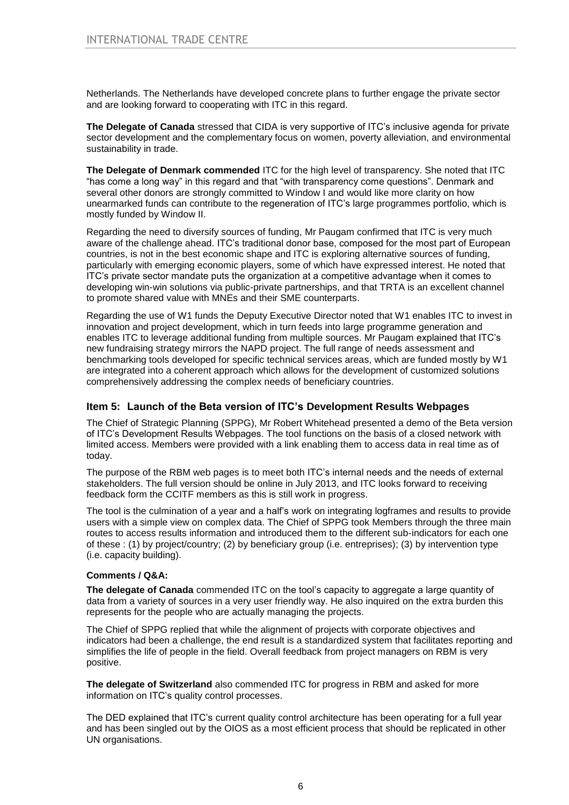Netherlands. The Netherlands have developed concrete plans to further engage the private sector and are looking forward to cooperating with ITC in this regard.

**The Delegate of Canada** stressed that CIDA is very supportive of ITC's inclusive agenda for private sector development and the complementary focus on women, poverty alleviation, and environmental sustainability in trade.

**The Delegate of Denmark commended** ITC for the high level of transparency. She noted that ITC "has come a long way" in this regard and that "with transparency come questions". Denmark and several other donors are strongly committed to Window I and would like more clarity on how unearmarked funds can contribute to the regeneration of ITC's large programmes portfolio, which is mostly funded by Window II.

Regarding the need to diversify sources of funding, Mr Paugam confirmed that ITC is very much aware of the challenge ahead. ITC's traditional donor base, composed for the most part of European countries, is not in the best economic shape and ITC is exploring alternative sources of funding, particularly with emerging economic players, some of which have expressed interest. He noted that ITC's private sector mandate puts the organization at a competitive advantage when it comes to developing win-win solutions via public-private partnerships, and that TRTA is an excellent channel to promote shared value with MNEs and their SME counterparts.

Regarding the use of W1 funds the Deputy Executive Director noted that W1 enables ITC to invest in innovation and project development, which in turn feeds into large programme generation and enables ITC to leverage additional funding from multiple sources. Mr Paugam explained that ITC's new fundraising strategy mirrors the NAPD project. The full range of needs assessment and benchmarking tools developed for specific technical services areas, which are funded mostly by W1 are integrated into a coherent approach which allows for the development of customized solutions comprehensively addressing the complex needs of beneficiary countries.

## **Item 5: Launch of the Beta version of ITC's Development Results Webpages**

The Chief of Strategic Planning (SPPG), Mr Robert Whitehead presented a demo of the Beta version of ITC's Development Results Webpages. The tool functions on the basis of a closed network with limited access. Members were provided with a link enabling them to access data in real time as of today.

The purpose of the RBM web pages is to meet both ITC's internal needs and the needs of external stakeholders. The full version should be online in July 2013, and ITC looks forward to receiving feedback form the CCITF members as this is still work in progress.

The tool is the culmination of a year and a half's work on integrating logframes and results to provide users with a simple view on complex data. The Chief of SPPG took Members through the three main routes to access results information and introduced them to the different sub-indicators for each one of these : (1) by project/country; (2) by beneficiary group (i.e. entreprises); (3) by intervention type (i.e. capacity building).

## **Comments / Q&A:**

**The delegate of Canada** commended ITC on the tool's capacity to aggregate a large quantity of data from a variety of sources in a very user friendly way. He also inquired on the extra burden this represents for the people who are actually managing the projects.

The Chief of SPPG replied that while the alignment of projects with corporate objectives and indicators had been a challenge, the end result is a standardized system that facilitates reporting and simplifies the life of people in the field. Overall feedback from project managers on RBM is very positive.

**The delegate of Switzerland** also commended ITC for progress in RBM and asked for more information on ITC's quality control processes.

The DED explained that ITC's current quality control architecture has been operating for a full year and has been singled out by the OIOS as a most efficient process that should be replicated in other UN organisations.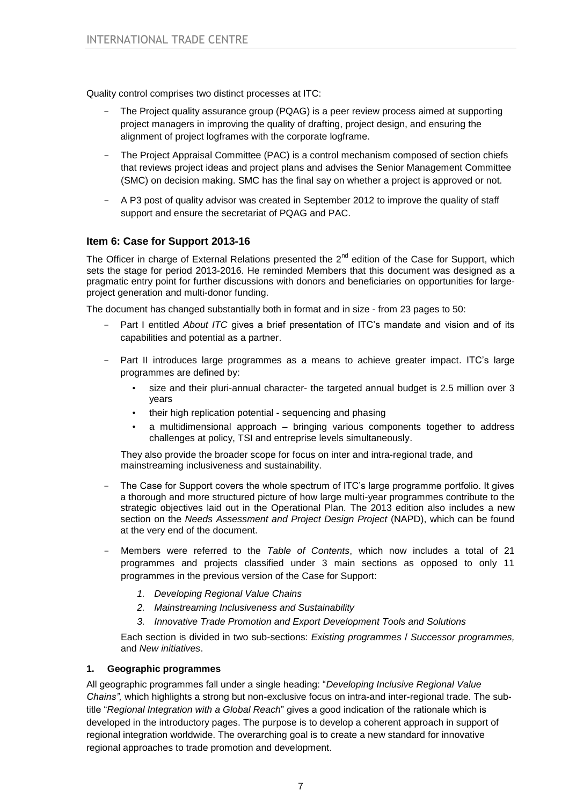Quality control comprises two distinct processes at ITC:

- The Project quality assurance group (PQAG) is a peer review process aimed at supporting project managers in improving the quality of drafting, project design, and ensuring the alignment of project logframes with the corporate logframe.
- The Project Appraisal Committee (PAC) is a control mechanism composed of section chiefs that reviews project ideas and project plans and advises the Senior Management Committee (SMC) on decision making. SMC has the final say on whether a project is approved or not.
- A P3 post of quality advisor was created in September 2012 to improve the quality of staff support and ensure the secretariat of PQAG and PAC.

# **Item 6: Case for Support 2013-16**

The Officer in charge of External Relations presented the 2<sup>nd</sup> edition of the Case for Support, which sets the stage for period 2013-2016. He reminded Members that this document was designed as a pragmatic entry point for further discussions with donors and beneficiaries on opportunities for largeproject generation and multi-donor funding.

The document has changed substantially both in format and in size - from 23 pages to 50:

- Part I entitled *About ITC* gives a brief presentation of ITC's mandate and vision and of its capabilities and potential as a partner.
- Part II introduces large programmes as a means to achieve greater impact. ITC's large programmes are defined by:
	- size and their pluri-annual character- the targeted annual budget is 2.5 million over 3 years
	- their high replication potential sequencing and phasing
	- a multidimensional approach bringing various components together to address challenges at policy, TSI and entreprise levels simultaneously.

They also provide the broader scope for focus on inter and intra-regional trade, and mainstreaming inclusiveness and sustainability.

- The Case for Support covers the whole spectrum of ITC's large programme portfolio. It gives a thorough and more structured picture of how large multi-year programmes contribute to the strategic objectives laid out in the Operational Plan. The 2013 edition also includes a new section on the *Needs Assessment and Project Design Project* (NAPD), which can be found at the very end of the document.
- Members were referred to the *Table of Contents*, which now includes a total of 21 programmes and projects classified under 3 main sections as opposed to only 11 programmes in the previous version of the Case for Support:
	- *1. Developing Regional Value Chains*
	- *2. Mainstreaming Inclusiveness and Sustainability*
	- *3. Innovative Trade Promotion and Export Development Tools and Solutions*

Each section is divided in two sub-sections: *Existing programmes* / *Successor programmes,* and *New initiatives*.

## **1. Geographic programmes**

All geographic programmes fall under a single heading: "*Developing Inclusive Regional Value Chains",* which highlights a strong but non-exclusive focus on intra-and inter-regional trade. The subtitle "*Regional Integration with a Global Reach*" gives a good indication of the rationale which is developed in the introductory pages. The purpose is to develop a coherent approach in support of regional integration worldwide. The overarching goal is to create a new standard for innovative regional approaches to trade promotion and development.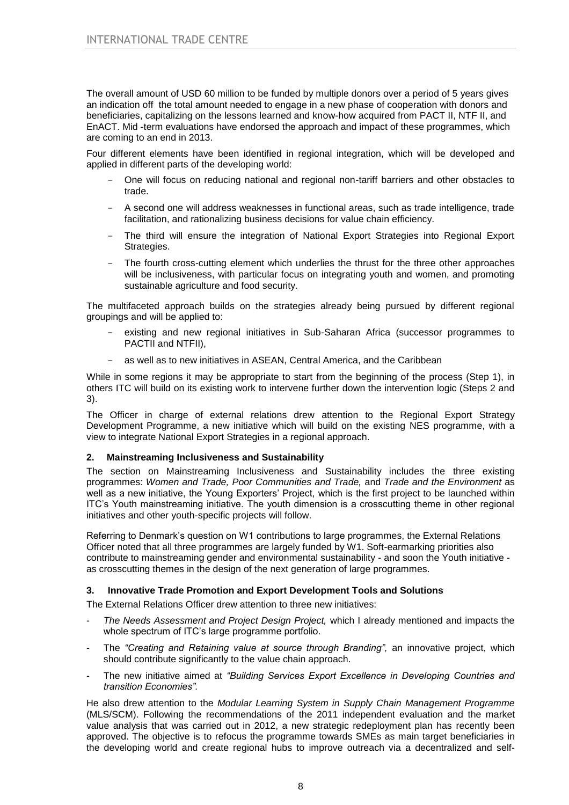The overall amount of USD 60 million to be funded by multiple donors over a period of 5 years gives an indication off the total amount needed to engage in a new phase of cooperation with donors and beneficiaries, capitalizing on the lessons learned and know-how acquired from PACT II, NTF II, and EnACT. Mid -term evaluations have endorsed the approach and impact of these programmes, which are coming to an end in 2013.

Four different elements have been identified in regional integration, which will be developed and applied in different parts of the developing world:

- One will focus on reducing national and regional non-tariff barriers and other obstacles to trade.
- A second one will address weaknesses in functional areas, such as trade intelligence, trade facilitation, and rationalizing business decisions for value chain efficiency.
- The third will ensure the integration of National Export Strategies into Regional Export Strategies.
- The fourth cross-cutting element which underlies the thrust for the three other approaches will be inclusiveness, with particular focus on integrating youth and women, and promoting sustainable agriculture and food security.

The multifaceted approach builds on the strategies already being pursued by different regional groupings and will be applied to:

- existing and new regional initiatives in Sub-Saharan Africa (successor programmes to PACTII and NTFII),
- as well as to new initiatives in ASEAN, Central America, and the Caribbean

While in some regions it may be appropriate to start from the beginning of the process (Step 1), in others ITC will build on its existing work to intervene further down the intervention logic (Steps 2 and 3).

The Officer in charge of external relations drew attention to the Regional Export Strategy Development Programme, a new initiative which will build on the existing NES programme, with a view to integrate National Export Strategies in a regional approach.

## **2. Mainstreaming Inclusiveness and Sustainability**

The section on Mainstreaming Inclusiveness and Sustainability includes the three existing programmes: *Women and Trade, Poor Communities and Trade,* and *Trade and the Environment* as well as a new initiative, the Young Exporters' Project, which is the first project to be launched within ITC's Youth mainstreaming initiative. The youth dimension is a crosscutting theme in other regional initiatives and other youth-specific projects will follow.

Referring to Denmark's question on W1 contributions to large programmes, the External Relations Officer noted that all three programmes are largely funded by W1. Soft-earmarking priorities also contribute to mainstreaming gender and environmental sustainability - and soon the Youth initiative as crosscutting themes in the design of the next generation of large programmes.

## **3. Innovative Trade Promotion and Export Development Tools and Solutions**

The External Relations Officer drew attention to three new initiatives:

- *The Needs Assessment and Project Design Project,* which I already mentioned and impacts the whole spectrum of ITC's large programme portfolio.
- The "Creating and Retaining value at source through Branding", an innovative project, which should contribute significantly to the value chain approach.
- The new initiative aimed at *"Building Services Export Excellence in Developing Countries and transition Economies".*

He also drew attention to the *Modular Learning System in Supply Chain Management Programme* (MLS/SCM). Following the recommendations of the 2011 independent evaluation and the market value analysis that was carried out in 2012, a new strategic redeployment plan has recently been approved. The objective is to refocus the programme towards SMEs as main target beneficiaries in the developing world and create regional hubs to improve outreach via a decentralized and self